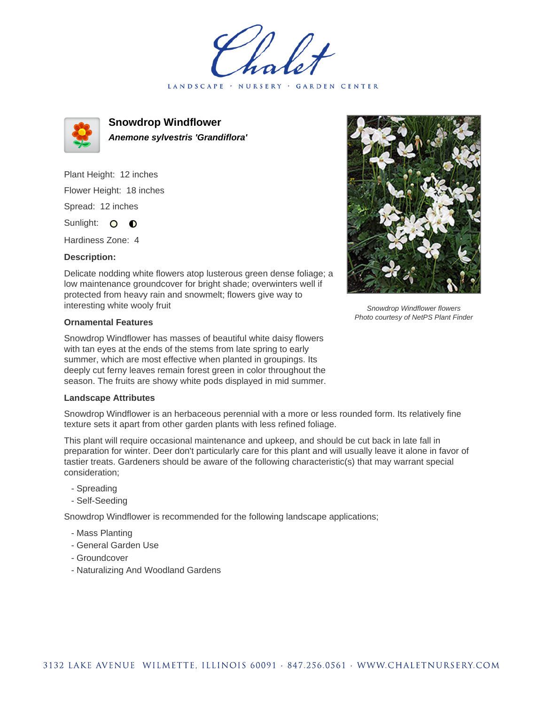LANDSCAPE · NURSERY · GARDEN CENTER



**Snowdrop Windflower Anemone sylvestris 'Grandiflora'**

Plant Height: 12 inches Flower Height: 18 inches Spread: 12 inches

Sunlight: O **O** 

Hardiness Zone: 4

## **Description:**

Delicate nodding white flowers atop lusterous green dense foliage; a low maintenance groundcover for bright shade; overwinters well if protected from heavy rain and snowmelt; flowers give way to interesting white wooly fruit

## **Ornamental Features**

Snowdrop Windflower has masses of beautiful white daisy flowers with tan eyes at the ends of the stems from late spring to early summer, which are most effective when planted in groupings. Its deeply cut ferny leaves remain forest green in color throughout the season. The fruits are showy white pods displayed in mid summer.

## **Landscape Attributes**

Snowdrop Windflower is an herbaceous perennial with a more or less rounded form. Its relatively fine texture sets it apart from other garden plants with less refined foliage.

This plant will require occasional maintenance and upkeep, and should be cut back in late fall in preparation for winter. Deer don't particularly care for this plant and will usually leave it alone in favor of tastier treats. Gardeners should be aware of the following characteristic(s) that may warrant special consideration;

- Spreading
- Self-Seeding

Snowdrop Windflower is recommended for the following landscape applications;

- Mass Planting
- General Garden Use
- Groundcover
- Naturalizing And Woodland Gardens



Snowdrop Windflower flowers Photo courtesy of NetPS Plant Finder